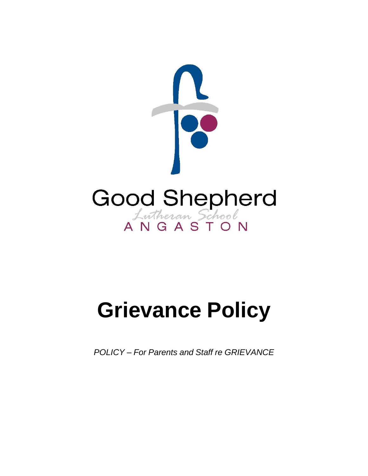

# **Grievance Policy**

**POLICY-For Parents and Staff re GRIEVANCE**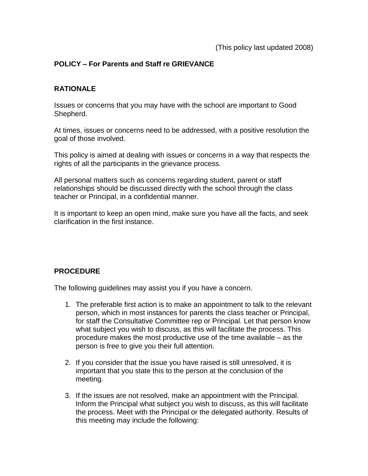## **POLICY – For Parents and Staff re GRIEVANCE**

#### **RATIONALE**

Issues or concerns that you may have with the school are important to Good Shepherd.

At times, issues or concerns need to be addressed, with a positive resolution the goal of those involved.

This policy is aimed at dealing with issues or concerns in a way that respects the rights of all the participants in the grievance process.

All personal matters such as concerns regarding student, parent or staff relationships should be discussed directly with the school through the class teacher or Principal, in a confidential manner.

It is important to keep an open mind, make sure you have all the facts, and seek clarification in the first instance.

#### **PROCEDURE**

The following guidelines may assist you if you have a concern.

- 1. The preferable first action is to make an appointment to talk to the relevant person, which in most instances for parents the class teacher or Principal, for staff the Consultative Committee rep or Principal. Let that person know what subject you wish to discuss, as this will facilitate the process. This procedure makes the most productive use of the time available – as the person is free to give you their full attention.
- 2. If you consider that the issue you have raised is still unresolved, it is important that you state this to the person at the conclusion of the meeting.
- 3. If the issues are not resolved, make an appointment with the Principal. Inform the Principal what subject you wish to discuss, as this will facilitate the process. Meet with the Principal or the delegated authority. Results of this meeting may include the following: